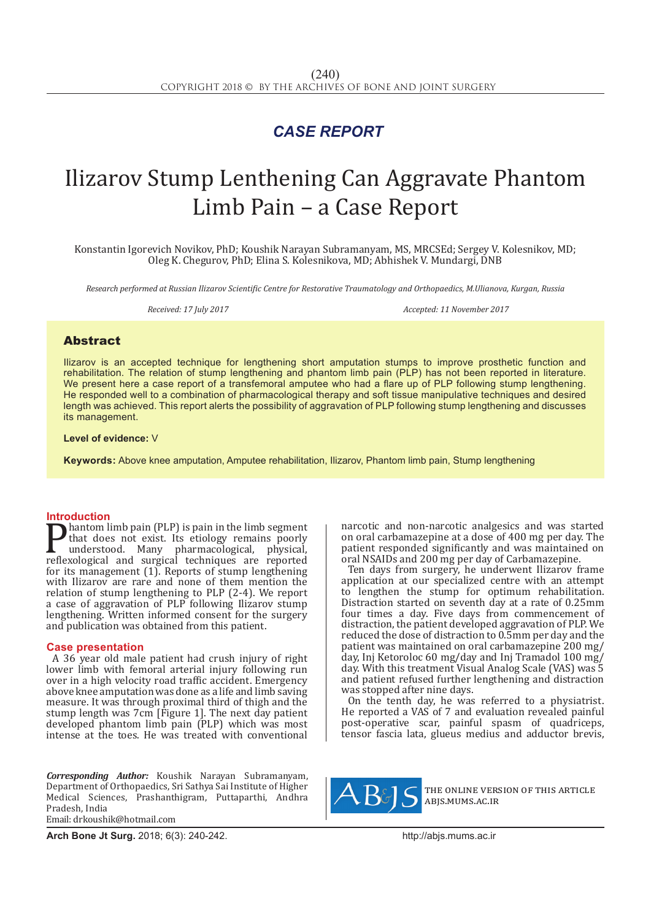## *CASE REPORT*

# Ilizarov Stump Lenthening Can Aggravate Phantom Limb Pain – a Case Report

Konstantin Igorevich Novikov, PhD; Koushik Narayan Subramanyam, MS, MRCSEd; Sergey V. Kolesnikov, MD; Oleg K. Chegurov, PhD; Elina S. Kolesnikova, MD; Abhishek V. Mundargi, DNB

*Research performed at Russian Ilizarov Scientific Centre for Restorative Traumatology and Orthopaedics, M.Ulianova, Kurgan, Russia*

*Received: 17 July 2017 Accepted: 11 November 2017*

### Abstract

Ilizarov is an accepted technique for lengthening short amputation stumps to improve prosthetic function and rehabilitation. The relation of stump lengthening and phantom limb pain (PLP) has not been reported in literature. We present here a case report of a transfemoral amputee who had a flare up of PLP following stump lengthening. He responded well to a combination of pharmacological therapy and soft tissue manipulative techniques and desired length was achieved. This report alerts the possibility of aggravation of PLP following stump lengthening and discusses its management.

**Level of evidence:** V

**Keywords:** Above knee amputation, Amputee rehabilitation, Ilizarov, Phantom limb pain, Stump lengthening

**Introduction**<br>**In** hantom limb pain (PLP) is pain in the limb segment **Phantom limb pain (PLP) is pain in the limb segment**<br>that does not exist. Its etiology remains poorly<br>understood. Many pharmacological, physical,<br>reflexological and surgical techniques are reported<br>for its management (1) that does not exist. Its etiology remains poorly understood. Many pharmacological, physical, reflexological and surgical techniques are reported for its management (1). Reports of stump lengthening with Ilizarov are rare and none of them mention the relation of stump lengthening to PLP (2-4). We report a case of aggravation of PLP following Ilizarov stump lengthening. Written informed consent for the surgery and publication was obtained from this patient.

### **Case presentation**

A 36 year old male patient had crush injury of right lower limb with femoral arterial injury following run over in a high velocity road traffic accident. Emergency above knee amputation was done as a life and limb saving measure. It was through proximal third of thigh and the stump length was 7cm [Figure 1]. The next day patient developed phantom limb pain (PLP) which was most intense at the toes. He was treated with conventional

*Corresponding Author:* Koushik Narayan Subramanyam, Department of Orthopaedics, Sri Sathya Sai Institute of Higher Medical Sciences, Prashanthigram, Puttaparthi, Andhra Pradesh, India Email: drkoushik@hotmail.com

narcotic and non-narcotic analgesics and was started on oral carbamazepine at a dose of 400 mg per day. The patient responded significantly and was maintained on oral NSAIDs and 200 mg per day of Carbamazepine.

Ten days from surgery, he underwent Ilizarov frame application at our specialized centre with an attempt to lengthen the stump for optimum rehabilitation. Distraction started on seventh day at a rate of 0.25mm four times a day. Five days from commencement of distraction, the patient developed aggravation of PLP. We reduced the dose of distraction to 0.5mm per day and the patient was maintained on oral carbamazepine 200 mg/ day, Inj Ketoroloc 60 mg/day and Inj Tramadol 100 mg/ day. With this treatment Visual Analog Scale (VAS) was 5 and patient refused further lengthening and distraction was stopped after nine days.

On the tenth day, he was referred to a physiatrist. He reported a VAS of 7 and evaluation revealed painful post-operative scar, painful spasm of quadriceps, tensor fascia lata, glueus medius and adductor brevis,



the online version of this article abjs.mums.ac.ir

**Arch Bone Jt Surg.** 2018; 6(3): 240-242.http://abjs.mums.ac.ir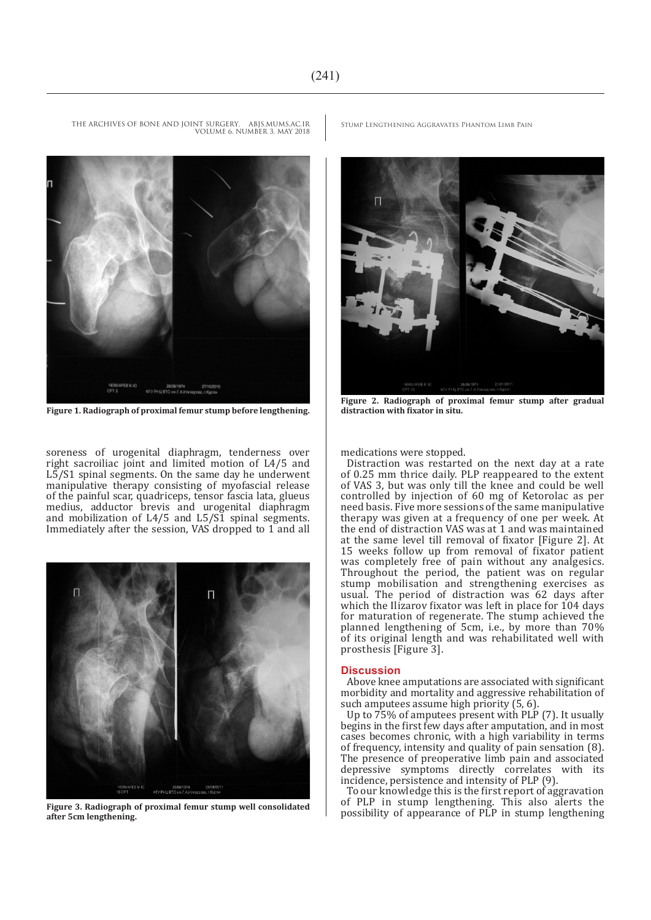VOLUME 6. NUMBER 3. MAY 2018



**Figure 1. Radiograph of proximal femur stump before lengthening.**

soreness of urogenital diaphragm, tenderness over right sacroiliac joint and limited motion of L4/5 and  $L\bar{5}/S1$  spinal segments. On the same day he underwent manipulative therapy consisting of myofascial release of the painful scar, quadriceps, tensor fascia lata, glueus medius, adductor brevis and urogenital diaphragm and mobilization of L4/5 and L5/S1 spinal segments. Immediately after the session, VAS dropped to 1 and all



**Figure 3. Radiograph of proximal femur stump well consolidated after 5cm lengthening.**

THE ARCHIVES OF BONE AND JOINT SURGERY. ABJS.MUMS.AC.IR STUMP LENGTHENING AGGRAVATES PHANTOM LIMB PAIN



**Figure 2. Radiograph of proximal femur stump after gradual distraction with fixator in situ.**

medications were stopped.

Distraction was restarted on the next day at a rate of 0.25 mm thrice daily. PLP reappeared to the extent of VAS 3, but was only till the knee and could be well controlled by injection of 60 mg of Ketorolac as per need basis. Five more sessions of the same manipulative therapy was given at a frequency of one per week. At the end of distraction VAS was at 1 and was maintained at the same level till removal of fixator [Figure 2]. At 15 weeks follow up from removal of fixator patient was completely free of pain without any analgesics. Throughout the period, the patient was on regular stump mobilisation and strengthening exercises as usual. The period of distraction was 62 days after which the Ilizarov fixator was left in place for 104 days for maturation of regenerate. The stump achieved the planned lengthening of 5cm, i.e., by more than 70% of its original length and was rehabilitated well with prosthesis [Figure 3].

### **Discussion**

Above knee amputations are associated with significant morbidity and mortality and aggressive rehabilitation of such amputees assume high priority (5, 6).

Up to 75% of amputees present with PLP (7). It usually begins in the first few days after amputation, and in most cases becomes chronic, with a high variability in terms of frequency, intensity and quality of pain sensation (8). The presence of preoperative limb pain and associated depressive symptoms directly correlates with its incidence, persistence and intensity of PLP (9).

To our knowledge this is the first report of aggravation of PLP in stump lengthening. This also alerts the possibility of appearance of PLP in stump lengthening